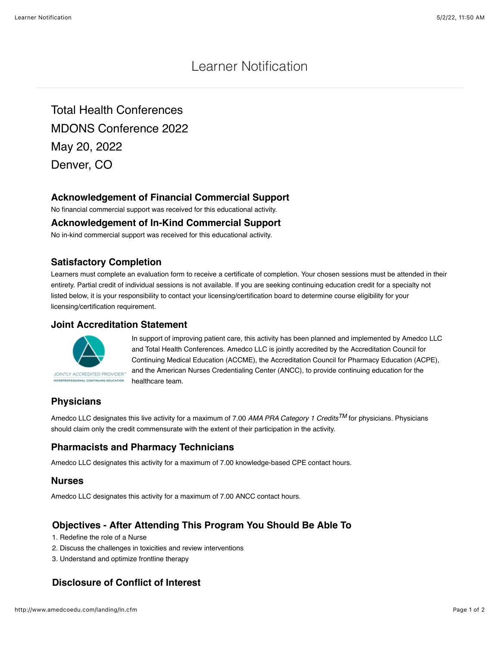# Learner Notification

Total Health Conferences MDONS Conference 2022 May 20, 2022 Denver, CO

## **Acknowledgement of Financial Commercial Support**

No financial commercial support was received for this educational activity.

### **Acknowledgement of In-Kind Commercial Support**

No in-kind commercial support was received for this educational activity.

## **Satisfactory Completion**

Learners must complete an evaluation form to receive a certificate of completion. Your chosen sessions must be attended in their entirety. Partial credit of individual sessions is not available. If you are seeking continuing education credit for a specialty not listed below, it is your responsibility to contact your licensing/certification board to determine course eligibility for your licensing/certification requirement.

### **Joint Accreditation Statement**



In support of improving patient care, this activity has been planned and implemented by Amedco LLC and Total Health Conferences. Amedco LLC is jointly accredited by the Accreditation Council for Continuing Medical Education (ACCME), the Accreditation Council for Pharmacy Education (ACPE), and the American Nurses Credentialing Center (ANCC), to provide continuing education for the healthcare team.

# **Physicians**

Amedco LLC designates this live activity for a maximum of 7.00 *AMA PRA Category 1 CreditsTM* for physicians. Physicians should claim only the credit commensurate with the extent of their participation in the activity.

# **Pharmacists and Pharmacy Technicians**

Amedco LLC designates this activity for a maximum of 7.00 knowledge-based CPE contact hours.

### **Nurses**

Amedco LLC designates this activity for a maximum of 7.00 ANCC contact hours.

## **Objectives - After Attending This Program You Should Be Able To**

- 1. Redefine the role of a Nurse
- 2. Discuss the challenges in toxicities and review interventions
- 3. Understand and optimize frontline therapy

## **Disclosure of Conflict of Interest**